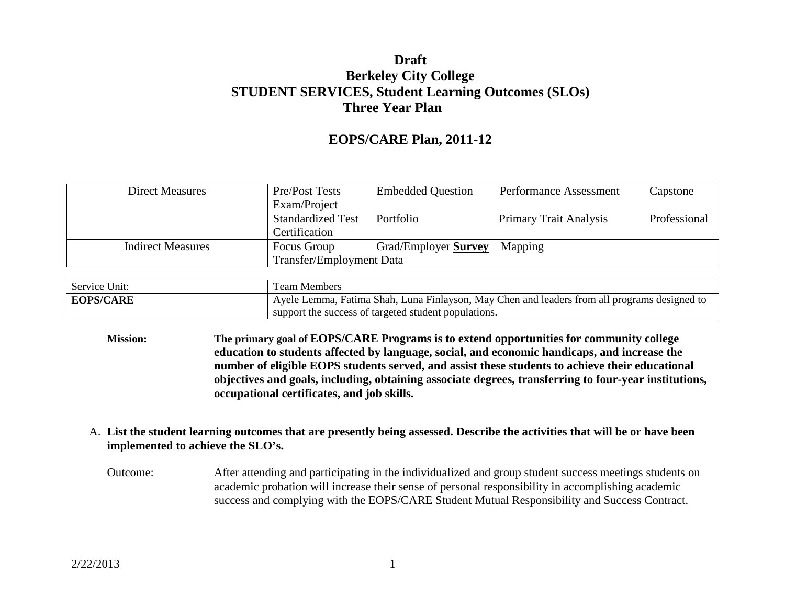## **Draft Berkeley City College STUDENT SERVICES, Student Learning Outcomes (SLOs) Three Year Plan**

## **EOPS/CARE Plan, 2011-12**

| <b>Direct Measures</b>   | Pre/Post Tests                  | <b>Embedded Question</b>    | Performance Assessment        | Capstone     |
|--------------------------|---------------------------------|-----------------------------|-------------------------------|--------------|
|                          | Exam/Project                    |                             |                               |              |
|                          | <b>Standardized Test</b>        | Portfolio                   | <b>Primary Trait Analysis</b> | Professional |
|                          | Certification                   |                             |                               |              |
| <b>Indirect Measures</b> | Focus Group                     | Grad/Employer <b>Survey</b> | Mapping                       |              |
|                          | <b>Transfer/Employment Data</b> |                             |                               |              |

| Service Unit:    | Team Members                                                                                 |  |
|------------------|----------------------------------------------------------------------------------------------|--|
| <b>EOPS/CARE</b> | Ayele Lemma, Fatima Shah, Luna Finlayson, May Chen and leaders from all programs designed to |  |
|                  | support the success of targeted student populations.                                         |  |

**Mission: The primary goal of EOPS/CARE Programs is to extend opportunities for community college education to students affected by language, social, and economic handicaps, and increase the number of eligible EOPS students served, and assist these students to achieve their educational objectives and goals, including, obtaining associate degrees, transferring to four-year institutions, occupational certificates, and job skills.** 

#### A. **List the student learning outcomes that are presently being assessed. Describe the activities that will be or have been implemented to achieve the SLO's.**

Outcome: After attending and participating in the individualized and group student success meetings students on academic probation will increase their sense of personal responsibility in accomplishing academic success and complying with the EOPS/CARE Student Mutual Responsibility and Success Contract.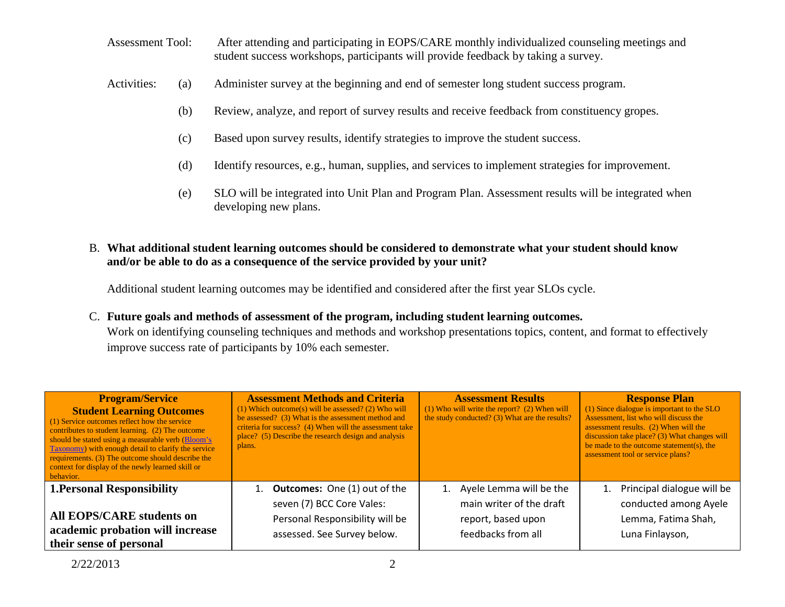- Assessment Tool: After attending and participating in EOPS/CARE monthly individualized counseling meetings and student success workshops, participants will provide feedback by taking a survey.
- Activities: (a) Administer survey at the beginning and end of semester long student success program.
	- (b) Review, analyze, and report of survey results and receive feedback from constituency gropes.
	- (c) Based upon survey results, identify strategies to improve the student success.
	- (d) Identify resources, e.g., human, supplies, and services to implement strategies for improvement.
	- (e) SLO will be integrated into Unit Plan and Program Plan. Assessment results will be integrated when developing new plans.

### B. **What additional student learning outcomes should be considered to demonstrate what your student should know and/or be able to do as a consequence of the service provided by your unit?**

Additional student learning outcomes may be identified and considered after the first year SLOs cycle.

#### C. **Future goals and methods of assessment of the program, including student learning outcomes.**

Work on identifying counseling techniques and methods and workshop presentations topics, content, and format to effectively improve success rate of participants by 10% each semester.

| <b>Program/Service</b><br><b>Student Learning Outcomes</b><br>(1) Service outcomes reflect how the service<br>contributes to student learning. (2) The outcome<br>should be stated using a measurable verb (Bloom's<br>Taxonomy) with enough detail to clarify the service<br>requirements. (3) The outcome should describe the<br>context for display of the newly learned skill or<br>behavior. | <b>Assessment Methods and Criteria</b><br>$(1)$ Which outcome(s) will be assessed? (2) Who will<br>be assessed? (3) What is the assessment method and<br>criteria for success? (4) When will the assessment take<br>place? (5) Describe the research design and analysis<br>plans. | <b>Assessment Results</b><br>$(1)$ Who will write the report? $(2)$ When will<br>the study conducted? (3) What are the results? | <b>Response Plan</b><br>(1) Since dialogue is important to the SLO<br>Assessment, list who will discuss the<br>assessment results. (2) When will the<br>discussion take place? (3) What changes will<br>be made to the outcome statement(s), the<br>assessment tool or service plans? |
|---------------------------------------------------------------------------------------------------------------------------------------------------------------------------------------------------------------------------------------------------------------------------------------------------------------------------------------------------------------------------------------------------|------------------------------------------------------------------------------------------------------------------------------------------------------------------------------------------------------------------------------------------------------------------------------------|---------------------------------------------------------------------------------------------------------------------------------|---------------------------------------------------------------------------------------------------------------------------------------------------------------------------------------------------------------------------------------------------------------------------------------|
| <b>1. Personal Responsibility</b>                                                                                                                                                                                                                                                                                                                                                                 | <b>Outcomes:</b> One (1) out of the                                                                                                                                                                                                                                                | Ayele Lemma will be the<br>1.                                                                                                   | Principal dialogue will be<br>1.                                                                                                                                                                                                                                                      |
| All EOPS/CARE students on                                                                                                                                                                                                                                                                                                                                                                         | seven (7) BCC Core Vales:                                                                                                                                                                                                                                                          | main writer of the draft                                                                                                        | conducted among Ayele                                                                                                                                                                                                                                                                 |
| academic probation will increase                                                                                                                                                                                                                                                                                                                                                                  | Personal Responsibility will be                                                                                                                                                                                                                                                    | report, based upon                                                                                                              | Lemma, Fatima Shah,                                                                                                                                                                                                                                                                   |
| their sense of personal                                                                                                                                                                                                                                                                                                                                                                           | assessed. See Survey below.                                                                                                                                                                                                                                                        | feedbacks from all                                                                                                              | Luna Finlayson,                                                                                                                                                                                                                                                                       |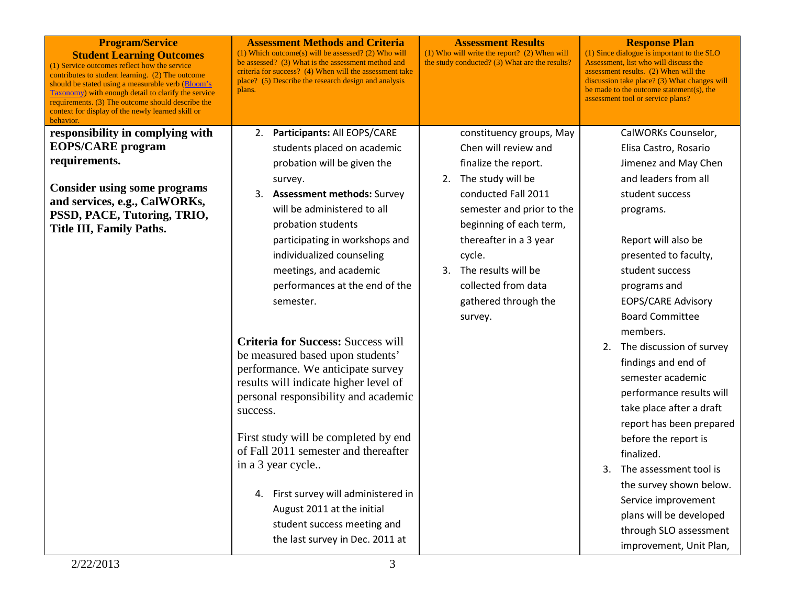| <b>Program/Service</b><br><b>Student Learning Outcomes</b><br>(1) Service outcomes reflect how the service<br>contributes to student learning. (2) The outcome<br>should be stated using a measurable verb (Bloom's<br><b>Taxonomy</b> ) with enough detail to clarify the service<br>requirements. (3) The outcome should describe the<br>context for display of the newly learned skill or<br>behavior. | <b>Assessment Methods and Criteria</b><br><b>Assessment Results</b><br>(1) Which outcome(s) will be assessed? (2) Who will<br>$(1)$ Who will write the report? $(2)$ When will<br>be assessed? (3) What is the assessment method and<br>the study conducted? (3) What are the results?<br>criteria for success? (4) When will the assessment take<br>place? (5) Describe the research design and analysis<br>plans. | <b>Response Plan</b><br>(1) Since dialogue is important to the SLO<br>Assessment, list who will discuss the<br>assessment results. (2) When will the<br>discussion take place? (3) What changes will<br>be made to the outcome statement(s), the<br>assessment tool or service plans? |
|-----------------------------------------------------------------------------------------------------------------------------------------------------------------------------------------------------------------------------------------------------------------------------------------------------------------------------------------------------------------------------------------------------------|---------------------------------------------------------------------------------------------------------------------------------------------------------------------------------------------------------------------------------------------------------------------------------------------------------------------------------------------------------------------------------------------------------------------|---------------------------------------------------------------------------------------------------------------------------------------------------------------------------------------------------------------------------------------------------------------------------------------|
| responsibility in complying with                                                                                                                                                                                                                                                                                                                                                                          | Participants: All EOPS/CARE<br>constituency groups, May<br>2.                                                                                                                                                                                                                                                                                                                                                       | CalWORKs Counselor,                                                                                                                                                                                                                                                                   |
| <b>EOPS/CARE</b> program                                                                                                                                                                                                                                                                                                                                                                                  | Chen will review and<br>students placed on academic                                                                                                                                                                                                                                                                                                                                                                 | Elisa Castro, Rosario                                                                                                                                                                                                                                                                 |
| requirements.                                                                                                                                                                                                                                                                                                                                                                                             | probation will be given the<br>finalize the report.                                                                                                                                                                                                                                                                                                                                                                 | Jimenez and May Chen                                                                                                                                                                                                                                                                  |
| <b>Consider using some programs</b>                                                                                                                                                                                                                                                                                                                                                                       | 2. The study will be<br>survey.                                                                                                                                                                                                                                                                                                                                                                                     | and leaders from all                                                                                                                                                                                                                                                                  |
| and services, e.g., CalWORKs,                                                                                                                                                                                                                                                                                                                                                                             | <b>Assessment methods: Survey</b><br>conducted Fall 2011<br>3.                                                                                                                                                                                                                                                                                                                                                      | student success                                                                                                                                                                                                                                                                       |
| PSSD, PACE, Tutoring, TRIO,                                                                                                                                                                                                                                                                                                                                                                               | will be administered to all<br>semester and prior to the                                                                                                                                                                                                                                                                                                                                                            | programs.                                                                                                                                                                                                                                                                             |
| Title III, Family Paths.                                                                                                                                                                                                                                                                                                                                                                                  | beginning of each term,<br>probation students                                                                                                                                                                                                                                                                                                                                                                       |                                                                                                                                                                                                                                                                                       |
|                                                                                                                                                                                                                                                                                                                                                                                                           | participating in workshops and<br>thereafter in a 3 year                                                                                                                                                                                                                                                                                                                                                            | Report will also be                                                                                                                                                                                                                                                                   |
|                                                                                                                                                                                                                                                                                                                                                                                                           | individualized counseling<br>cycle.                                                                                                                                                                                                                                                                                                                                                                                 | presented to faculty,                                                                                                                                                                                                                                                                 |
|                                                                                                                                                                                                                                                                                                                                                                                                           | The results will be<br>meetings, and academic<br>3.                                                                                                                                                                                                                                                                                                                                                                 | student success                                                                                                                                                                                                                                                                       |
|                                                                                                                                                                                                                                                                                                                                                                                                           | collected from data<br>performances at the end of the                                                                                                                                                                                                                                                                                                                                                               | programs and                                                                                                                                                                                                                                                                          |
|                                                                                                                                                                                                                                                                                                                                                                                                           | gathered through the<br>semester.                                                                                                                                                                                                                                                                                                                                                                                   | <b>EOPS/CARE Advisory</b>                                                                                                                                                                                                                                                             |
|                                                                                                                                                                                                                                                                                                                                                                                                           | survey.                                                                                                                                                                                                                                                                                                                                                                                                             | <b>Board Committee</b>                                                                                                                                                                                                                                                                |
|                                                                                                                                                                                                                                                                                                                                                                                                           | <b>Criteria for Success: Success will</b>                                                                                                                                                                                                                                                                                                                                                                           | members.                                                                                                                                                                                                                                                                              |
|                                                                                                                                                                                                                                                                                                                                                                                                           | be measured based upon students'                                                                                                                                                                                                                                                                                                                                                                                    | 2. The discussion of survey                                                                                                                                                                                                                                                           |
|                                                                                                                                                                                                                                                                                                                                                                                                           | performance. We anticipate survey                                                                                                                                                                                                                                                                                                                                                                                   | findings and end of                                                                                                                                                                                                                                                                   |
|                                                                                                                                                                                                                                                                                                                                                                                                           | results will indicate higher level of                                                                                                                                                                                                                                                                                                                                                                               | semester academic                                                                                                                                                                                                                                                                     |
|                                                                                                                                                                                                                                                                                                                                                                                                           | personal responsibility and academic                                                                                                                                                                                                                                                                                                                                                                                | performance results will                                                                                                                                                                                                                                                              |
|                                                                                                                                                                                                                                                                                                                                                                                                           | success.                                                                                                                                                                                                                                                                                                                                                                                                            | take place after a draft                                                                                                                                                                                                                                                              |
|                                                                                                                                                                                                                                                                                                                                                                                                           |                                                                                                                                                                                                                                                                                                                                                                                                                     | report has been prepared                                                                                                                                                                                                                                                              |
|                                                                                                                                                                                                                                                                                                                                                                                                           | First study will be completed by end                                                                                                                                                                                                                                                                                                                                                                                | before the report is                                                                                                                                                                                                                                                                  |
|                                                                                                                                                                                                                                                                                                                                                                                                           | of Fall 2011 semester and thereafter                                                                                                                                                                                                                                                                                                                                                                                | finalized.                                                                                                                                                                                                                                                                            |
|                                                                                                                                                                                                                                                                                                                                                                                                           | in a 3 year cycle                                                                                                                                                                                                                                                                                                                                                                                                   | 3. The assessment tool is                                                                                                                                                                                                                                                             |
|                                                                                                                                                                                                                                                                                                                                                                                                           | First survey will administered in<br>4.                                                                                                                                                                                                                                                                                                                                                                             | the survey shown below.                                                                                                                                                                                                                                                               |
|                                                                                                                                                                                                                                                                                                                                                                                                           |                                                                                                                                                                                                                                                                                                                                                                                                                     | Service improvement                                                                                                                                                                                                                                                                   |
|                                                                                                                                                                                                                                                                                                                                                                                                           | August 2011 at the initial                                                                                                                                                                                                                                                                                                                                                                                          | plans will be developed                                                                                                                                                                                                                                                               |
|                                                                                                                                                                                                                                                                                                                                                                                                           | student success meeting and                                                                                                                                                                                                                                                                                                                                                                                         | through SLO assessment                                                                                                                                                                                                                                                                |
|                                                                                                                                                                                                                                                                                                                                                                                                           | the last survey in Dec. 2011 at                                                                                                                                                                                                                                                                                                                                                                                     | improvement, Unit Plan,                                                                                                                                                                                                                                                               |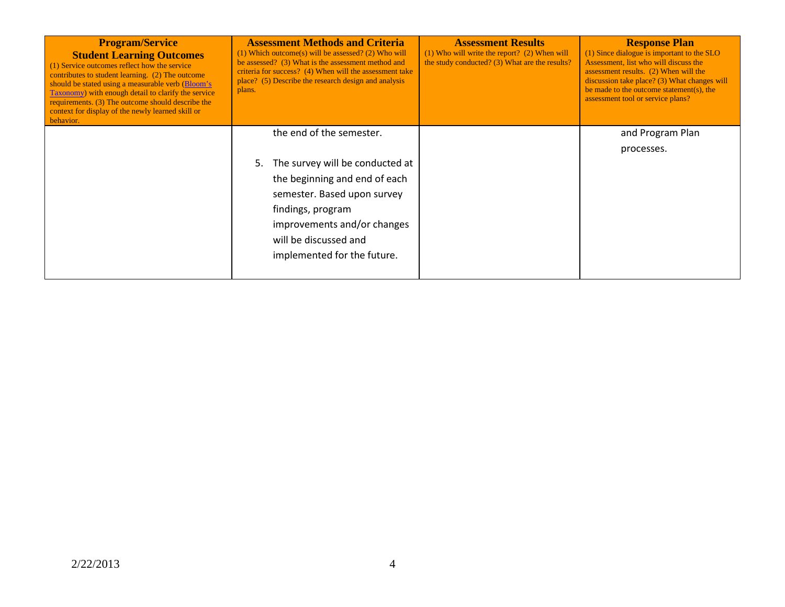| <b>Program/Service</b><br><b>Student Learning Outcomes</b><br>(1) Service outcomes reflect how the service<br>contributes to student learning. (2) The outcome<br>should be stated using a measurable verb (Bloom's<br>Taxonomy) with enough detail to clarify the service<br>requirements. (3) The outcome should describe the<br>context for display of the newly learned skill or<br>behavior. | <b>Assessment Methods and Criteria</b><br>$(1)$ Which outcome(s) will be assessed? (2) Who will<br>be assessed? (3) What is the assessment method and<br>criteria for success? (4) When will the assessment take<br>place? (5) Describe the research design and analysis<br>plans. | <b>Assessment Results</b><br>$(1)$ Who will write the report? $(2)$ When will<br>the study conducted? (3) What are the results? | <b>Response Plan</b><br>(1) Since dialogue is important to the SLO<br>Assessment, list who will discuss the<br>assessment results. (2) When will the<br>discussion take place? $(3)$ What changes will<br>be made to the outcome statement(s), the<br>assessment tool or service plans? |
|---------------------------------------------------------------------------------------------------------------------------------------------------------------------------------------------------------------------------------------------------------------------------------------------------------------------------------------------------------------------------------------------------|------------------------------------------------------------------------------------------------------------------------------------------------------------------------------------------------------------------------------------------------------------------------------------|---------------------------------------------------------------------------------------------------------------------------------|-----------------------------------------------------------------------------------------------------------------------------------------------------------------------------------------------------------------------------------------------------------------------------------------|
|                                                                                                                                                                                                                                                                                                                                                                                                   | the end of the semester.<br>The survey will be conducted at<br>5.<br>the beginning and end of each<br>semester. Based upon survey<br>findings, program<br>improvements and/or changes<br>will be discussed and<br>implemented for the future.                                      |                                                                                                                                 | and Program Plan<br>processes.                                                                                                                                                                                                                                                          |